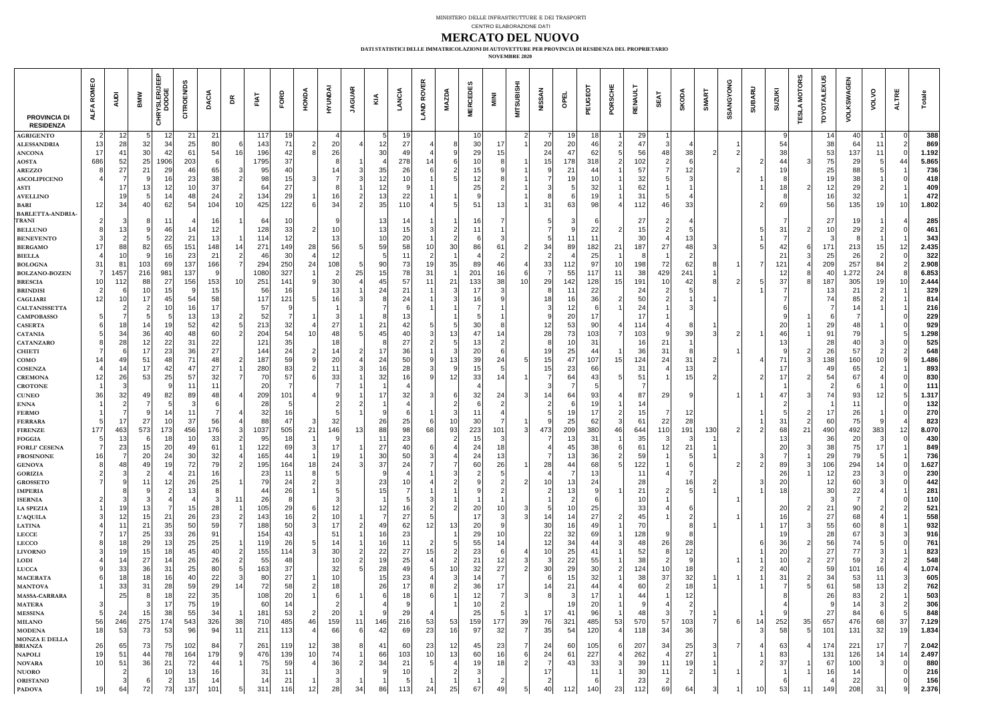|                                         |     | $\Box$           |                   |                 | <u> က</u>  |                                          |          |                                             |                       |                 |                                        |      |                | <u>and</u><br>$\mathbf C$ |                 |                 |                 |     |                                                                                                                                              |                                              |                  |                                                                                                                                                                                                                                                                                                                                                                                                                                    | Ш<br>ပ          |                                           |                  |                        |  | $\blacktriangleright$<br>$\overline{\phantom{0}}$ |     | $\sim$                |                       | $\mathbf{O}$    | Щ  |                                               |
|-----------------------------------------|-----|------------------|-------------------|-----------------|------------|------------------------------------------|----------|---------------------------------------------|-----------------------|-----------------|----------------------------------------|------|----------------|---------------------------|-----------------|-----------------|-----------------|-----|----------------------------------------------------------------------------------------------------------------------------------------------|----------------------------------------------|------------------|------------------------------------------------------------------------------------------------------------------------------------------------------------------------------------------------------------------------------------------------------------------------------------------------------------------------------------------------------------------------------------------------------------------------------------|-----------------|-------------------------------------------|------------------|------------------------|--|---------------------------------------------------|-----|-----------------------|-----------------------|-----------------|----|-----------------------------------------------|
|                                         |     |                  |                   | <u> တို့ ဝ</u>  |            |                                          | $\Omega$ |                                             | $\bullet$             | وطعر            |                                        |      |                |                           | $\Box$          |                 |                 |     |                                                                                                                                              | $\overline{\mathbf{z}}$<br>$\rightarrow$     |                  | Щ                                                                                                                                                                                                                                                                                                                                                                                                                                  | S               | Ш                                         |                  |                        |  | N<br>ၯ                                            |     |                       |                       |                 |    |                                               |
| <b>PROVINCIA DI</b><br><b>RESIDENZA</b> |     |                  |                   | $\bullet$       | ပ          |                                          |          |                                             |                       |                 |                                        |      |                |                           |                 |                 |                 |     |                                                                                                                                              |                                              |                  |                                                                                                                                                                                                                                                                                                                                                                                                                                    |                 |                                           |                  |                        |  |                                                   |     |                       |                       |                 |    |                                               |
| <b>AGRIGENTO</b><br><b>ALESSANDRIA</b>  |     | Z                |                   |                 | 21<br>25   | 21<br>80 <sup>2</sup>                    |          | 117<br>143                                  | 19 <sub>1</sub><br>71 |                 | $\Omega$                               |      |                | 10<br>$\mathbf{C}$        |                 |                 | 30              |     |                                                                                                                                              | 20                                           | 20 <sub>1</sub>  |                                                                                                                                                                                                                                                                                                                                                                                                                                    |                 | $\Omega$<br>LJ                            |                  |                        |  | БΔ                                                |     | 38                    | 64                    |                 |    | 388<br>869                                    |
| <b>ANCONA</b>                           |     | ZO               |                   |                 | 61         | 54                                       | 16       | 196                                         | 42                    | $\mathbf{Z}$    | <u>Z61</u>                             |      | 12<br>$\Omega$ | $\angle$ (                |                 |                 | 29              |     |                                                                                                                                              | 24                                           |                  | 62                                                                                                                                                                                                                                                                                                                                                                                                                                 |                 | 56                                        |                  |                        |  | 38                                                |     |                       |                       |                 |    | 1.192                                         |
| AOSTA                                   | 686 | 52               | $\mathsf{L} \cup$ | 906             | 203        |                                          |          | 1795                                        |                       |                 |                                        |      |                | 278                       |                 |                 |                 |     |                                                                                                                                              |                                              | 178              | 318                                                                                                                                                                                                                                                                                                                                                                                                                                |                 | I UZ                                      |                  |                        |  | 44                                                |     |                       | ΖЭ                    |                 |    | 5.865                                         |
| <b>AREZZO</b>                           |     |                  |                   |                 | 461        | 65<br>38                                 |          | 95<br>98                                    |                       |                 |                                        |      |                | $\Omega$                  |                 |                 |                 |     |                                                                                                                                              |                                              |                  |                                                                                                                                                                                                                                                                                                                                                                                                                                    |                 | $\sim$                                    |                  | $\mathsf{Z}$           |  |                                                   |     | ΣJ                    |                       |                 |    | 736<br>418                                    |
| <b>ASCOLIPICENO</b><br><b>ASTI</b>      |     |                  |                   |                 | 23         | 37                                       |          | 64                                          | 15<br>$\angle$ (      |                 |                                        |      |                |                           |                 |                 |                 |     |                                                                                                                                              |                                              |                  |                                                                                                                                                                                                                                                                                                                                                                                                                                    |                 | 62                                        |                  |                        |  |                                                   |     | Z                     |                       |                 |    | 409                                           |
| <b>AVELLINO</b>                         |     |                  |                   |                 | 48         | 24                                       |          | 134                                         | ററ<br>29 I            |                 |                                        |      |                | $\Omega$<br>$\angle$      |                 |                 |                 |     |                                                                                                                                              |                                              |                  |                                                                                                                                                                                                                                                                                                                                                                                                                                    |                 |                                           |                  |                        |  |                                                   |     |                       |                       |                 |    | 472                                           |
| <b>BARI</b>                             |     | 34 <sub>1</sub>  |                   |                 | 54         | 04                                       |          | 425                                         | 22                    |                 |                                        |      | $\Omega$       | 110 <sub>1</sub>          |                 |                 |                 |     |                                                                                                                                              | 31                                           | ဝ၁၂              |                                                                                                                                                                                                                                                                                                                                                                                                                                    |                 |                                           | 46               | 33                     |  | 69                                                |     |                       | ၁၁                    |                 |    | 1.802                                         |
| <b>BARLETTA-ANDRIA-</b><br><b>TRANI</b> |     |                  |                   |                 |            |                                          |          | 64                                          | U                     |                 |                                        |      |                |                           |                 |                 |                 |     |                                                                                                                                              |                                              |                  |                                                                                                                                                                                                                                                                                                                                                                                                                                    |                 | 27                                        |                  |                        |  |                                                   |     | 27 <sub>l</sub>       |                       |                 |    | 285                                           |
| <b>BELLUNO</b>                          |     | 131              |                   |                 |            |                                          |          | 128                                         | 33                    |                 | I U I                                  |      | 13             |                           |                 |                 |                 |     |                                                                                                                                              |                                              |                  | ZZ                                                                                                                                                                                                                                                                                                                                                                                                                                 |                 |                                           |                  |                        |  | 31                                                |     |                       | 29 <sub>1</sub>       |                 |    | 461                                           |
| <b>BENEVENTO</b>                        |     |                  |                   |                 | $\angle$ 1 |                                          |          | 114                                         | 12                    |                 |                                        |      |                |                           |                 |                 |                 |     |                                                                                                                                              |                                              |                  |                                                                                                                                                                                                                                                                                                                                                                                                                                    |                 |                                           |                  |                        |  |                                                   |     |                       |                       |                 |    | 343                                           |
| BERGAMO<br>BIELLA                       |     |                  |                   |                 | 151        | 48                                       |          | 271                                         | 491                   | 28              |                                        |      |                | 58                        |                 |                 | 86              |     |                                                                                                                                              | 34                                           | 89               | 182                                                                                                                                                                                                                                                                                                                                                                                                                                |                 | 187                                       | 27               |                        |  | 42<br>21                                          |     | 17 <sup>′</sup>       | 213                   | 15              |    | 2.435<br>322                                  |
| <b>BOLOGNA</b>                          | 31  |                  |                   |                 | 137        | 66                                       |          | 294'                                        | 250                   |                 |                                        |      |                |                           |                 | 35 <sub>1</sub> | 89              |     |                                                                                                                                              | 33                                           | 112              |                                                                                                                                                                                                                                                                                                                                                                                                                                    |                 | 198                                       |                  |                        |  | 21                                                |     | 209                   | 257                   | 84              |    | 2.908                                         |
| <b>BOLZANO-BOZEN</b>                    |     | 1457             | 216               | 981             | 137        |                                          |          | 1080                                        | 327                   |                 |                                        | ∠O I |                | <u>701</u>                | 31              |                 | 201             |     |                                                                                                                                              |                                              | <b>551</b>       | 117                                                                                                                                                                                                                                                                                                                                                                                                                                |                 |                                           | 429              | 241                    |  | Z                                                 |     |                       | 1.272                 | 24              |    | 6.853                                         |
| <b>BRESCIA</b>                          |     | 112              |                   | 27 <sub>l</sub> | 156        | 153                                      | 10I      | 251                                         | 41                    |                 |                                        |      |                |                           |                 | 211             | 1331            | 38  | 10 <sub>1</sub>                                                                                                                              | 29                                           | 142              | 128                                                                                                                                                                                                                                                                                                                                                                                                                                |                 | 191                                       |                  |                        |  | 37                                                |     |                       | 305                   | 19              |    | 2.444                                         |
| <b>BRINDISI</b><br><b>CAGLIARI</b>      |     |                  |                   |                 |            |                                          |          | 56<br>117                                   | 16                    |                 |                                        |      |                | $\sim$ 1                  |                 |                 |                 |     |                                                                                                                                              |                                              | $\mathbf{O}$     | 22                                                                                                                                                                                                                                                                                                                                                                                                                                 |                 | 24                                        |                  |                        |  |                                                   |     |                       |                       |                 |    | 329<br> 814                                   |
| CALTANISSETTA                           |     |                  |                   |                 |            |                                          |          | 57                                          |                       |                 |                                        |      |                |                           |                 |                 |                 |     |                                                                                                                                              |                                              |                  |                                                                                                                                                                                                                                                                                                                                                                                                                                    |                 |                                           |                  |                        |  |                                                   |     |                       |                       |                 |    | <b>216</b>                                    |
| <b>CAMPOBASSO</b>                       |     |                  |                   |                 |            |                                          |          |                                             |                       |                 |                                        |      |                |                           |                 |                 |                 |     |                                                                                                                                              |                                              | 20 <sub>1</sub>  |                                                                                                                                                                                                                                                                                                                                                                                                                                    |                 |                                           |                  |                        |  | nr                                                |     |                       |                       |                 |    | 229                                           |
| <b>CASERTA</b><br><b>CATANIA</b>        |     |                  |                   |                 |            | 42<br>60                                 |          | 213<br>204                                  | 32<br>54              |                 |                                        |      |                |                           |                 |                 |                 |     |                                                                                                                                              | Z <br>28                                     | 53<br>73         |                                                                                                                                                                                                                                                                                                                                                                                                                                    |                 | 114<br>103                                |                  |                        |  | ZU<br>46                                          |     | 29                    |                       |                 |    | 929<br>1.298                                  |
| <b>CATANZARO</b>                        |     |                  |                   |                 |            | 22                                       |          | $121_1$                                     | 35                    |                 |                                        |      |                |                           |                 |                 |                 |     |                                                                                                                                              |                                              |                  |                                                                                                                                                                                                                                                                                                                                                                                                                                    |                 |                                           | 21               |                        |  |                                                   |     | 28                    |                       |                 |    | 525                                           |
| <b>CHIETI</b>                           |     |                  |                   |                 |            |                                          |          | 144                                         |                       |                 |                                        |      |                |                           |                 |                 |                 |     |                                                                                                                                              |                                              |                  |                                                                                                                                                                                                                                                                                                                                                                                                                                    |                 |                                           | 31               |                        |  |                                                   |     |                       |                       |                 |    | 648                                           |
| <b>COMO</b>                             |     |                  |                   |                 |            |                                          |          |                                             |                       |                 |                                        |      |                |                           |                 |                 |                 |     |                                                                                                                                              |                                              |                  | 66                                                                                                                                                                                                                                                                                                                                                                                                                                 |                 | 124                                       | 24 <sup>1</sup>  |                        |  | 17                                                |     |                       |                       |                 |    | 1.486'<br>893                                 |
| COSENZA<br><b>CREMONA</b>               | 12  | 26               | 53                | 25I             | 47 <br>57I | 27                                       |          | 280<br>70                                   | 83                    |                 | 331                                    |      | 32             | 28<br>16                  | 9               | 12              | 33              |     |                                                                                                                                              | 15                                           | 23<br><b>641</b> |                                                                                                                                                                                                                                                                                                                                                                                                                                    |                 | 31                                        |                  | 131<br>15 <sub>1</sub> |  | 17 <sup>1</sup>                                   |     | 49<br>54 I            | CO <br>67             |                 |    | 830                                           |
| <b>CROTONE</b>                          |     |                  |                   |                 |            |                                          |          | 20 <sup>1</sup>                             |                       |                 |                                        |      |                |                           |                 |                 |                 |     |                                                                                                                                              |                                              |                  |                                                                                                                                                                                                                                                                                                                                                                                                                                    |                 |                                           |                  |                        |  |                                                   |     |                       |                       |                 |    | 111                                           |
| <b>CUNEO</b>                            | 36  | 32               | 49                | 82              | 89         | 48                                       |          | 209                                         |                       |                 |                                        |      |                | 32                        |                 |                 | 32              | 24  |                                                                                                                                              | 14                                           | 64               | 93                                                                                                                                                                                                                                                                                                                                                                                                                                 |                 | 87                                        | 29               |                        |  | 47                                                |     | 74                    | 93                    | 12              |    | 1.317                                         |
| <b>ENNA</b><br><b>FERMO</b>             |     |                  |                   |                 |            |                                          |          | 28<br>32                                    |                       |                 |                                        |      |                |                           |                 |                 |                 |     |                                                                                                                                              |                                              | 19               |                                                                                                                                                                                                                                                                                                                                                                                                                                    |                 |                                           |                  | 121                    |  |                                                   |     |                       | וס∠                   |                 |    | 132<br><b>270</b>                             |
| FERRARA                                 |     |                  | $\angle I$        |                 | 37         | 56                                       |          | 88                                          |                       |                 |                                        |      | 26             | 25                        |                 | 0               | 30              |     |                                                                                                                                              |                                              | 25               | 62                                                                                                                                                                                                                                                                                                                                                                                                                                 |                 |                                           | 22               | 28                     |  | 31                                                |     |                       | <b>ل</b> ا            |                 |    | 823                                           |
| <b>FIRENZE</b>                          | 177 | 463              | 573               | 173             | 456        | 1761                                     |          | 1037                                        | 505                   | 21              | 146                                    |      | 88             | 98                        | 68              | 93              | 223             | 101 |                                                                                                                                              | 473                                          | 209              | 380                                                                                                                                                                                                                                                                                                                                                                                                                                |                 | 644                                       |                  | 191                    |  | 68                                                | 21  | 490                   | 492                   | 383             |    | 8.070                                         |
| <b>FOGGIA</b>                           |     | ا 31<br>23       |                   |                 |            |                                          |          | 95<br> 22                                   | 18<br>69              |                 |                                        |      | 27             | 23                        |                 |                 | 24              |     |                                                                                                                                              |                                              | 131              | 3 <sup>′</sup><br>38                                                                                                                                                                                                                                                                                                                                                                                                               |                 | 61                                        |                  |                        |  | 20                                                |     | 36<br>38              |                       |                 |    | 430                                           |
| FORLI' CESENA<br><b>FROSINONE</b>       | 16  |                  |                   |                 | 49         |                                          |          | 165                                         | 44                    |                 | l 9 l                                  |      |                | 50                        |                 |                 | 24              |     |                                                                                                                                              |                                              | 45<br>13         | 36                                                                                                                                                                                                                                                                                                                                                                                                                                 |                 |                                           | 12 <sub>1</sub>  |                        |  |                                                   |     | 29                    | 75 I                  |                 |    | 849<br>736                                    |
| GENOVA                                  |     |                  |                   |                 |            |                                          |          | 195                                         | 64                    | 18 <sub>1</sub> |                                        |      | 37             |                           |                 |                 | 60              | 26  |                                                                                                                                              | 28                                           | 44               | 68                                                                                                                                                                                                                                                                                                                                                                                                                                 |                 | 122                                       |                  |                        |  | 89                                                |     | 106                   | 294                   | 141             |    | 1.627                                         |
| GORIZIA                                 |     |                  |                   |                 | 21         |                                          |          | 23                                          |                       |                 |                                        |      |                |                           |                 |                 |                 |     |                                                                                                                                              |                                              |                  |                                                                                                                                                                                                                                                                                                                                                                                                                                    |                 |                                           |                  |                        |  | 26<br>ററ                                          |     | <u> 2 </u>            | 23                    |                 |    | 230                                           |
| GROSSETO<br><b>IMPERIA</b>              |     |                  |                   |                 |            |                                          |          | 79<br>44                                    | 26                    |                 |                                        |      | 23             |                           |                 |                 |                 |     |                                                                                                                                              |                                              | 13               |                                                                                                                                                                                                                                                                                                                                                                                                                                    |                 | 28<br>$\bigcap$                           |                  |                        |  | ZU.                                               |     | 12<br>$\Omega$        | 22                    |                 |    | 442<br>281                                    |
| <b>ISERNIA</b>                          |     |                  |                   |                 |            |                                          |          | 26                                          |                       |                 |                                        |      |                |                           |                 |                 |                 |     |                                                                                                                                              |                                              |                  |                                                                                                                                                                                                                                                                                                                                                                                                                                    |                 |                                           |                  |                        |  |                                                   |     |                       |                       |                 |    | 110                                           |
| LA SPEZIA                               |     |                  |                   |                 |            |                                          |          | 05                                          |                       |                 |                                        |      |                |                           |                 |                 | ZU              |     |                                                                                                                                              |                                              |                  |                                                                                                                                                                                                                                                                                                                                                                                                                                    |                 | 33                                        |                  |                        |  | ററ<br>ZU.                                         |     |                       |                       |                 |    | 521                                           |
| L'AQUILA<br><b>LATINA</b>               |     | 121              |                   |                 | 26         | 23                                       |          | 143 <br> 88                                 | 16 <br>50             |                 |                                        |      |                | 27 <sub>1</sub><br>62     |                 | 131             |                 |     |                                                                                                                                              | 30                                           | 14 <br> O        | ZI                                                                                                                                                                                                                                                                                                                                                                                                                                 |                 | 7 <sup>c</sup>                            |                  |                        |  | 17 <sup>1</sup>                                   |     | 27<br>55              | 68 <sub>1</sub><br>60 |                 |    | 558<br>932                                    |
| <b>LECCE</b>                            |     |                  |                   |                 | 26         |                                          |          | 154                                         |                       |                 |                                        |      |                |                           |                 |                 |                 |     |                                                                                                                                              | 22                                           | 32               | 691                                                                                                                                                                                                                                                                                                                                                                                                                                |                 | 128                                       |                  |                        |  |                                                   |     | 28                    |                       |                 |    | 916                                           |
| LECCO                                   |     |                  |                   |                 |            |                                          |          | 119                                         | 261                   |                 |                                        |      |                |                           |                 |                 |                 |     |                                                                                                                                              | 12 <sup>1</sup>                              | <b>341</b>       |                                                                                                                                                                                                                                                                                                                                                                                                                                    |                 |                                           |                  |                        |  | 36                                                |     |                       |                       |                 |    | 761                                           |
| <b>LIVORNO</b>                          |     |                  |                   |                 |            |                                          |          | 55                                          | 141                   |                 |                                        |      |                |                           |                 |                 |                 |     |                                                                                                                                              |                                              | 251              |                                                                                                                                                                                                                                                                                                                                                                                                                                    |                 |                                           |                  |                        |  | ററ<br>ZU                                          |     | 271                   |                       |                 |    | 823                                           |
| LODI<br>LUCCA                           |     | 331              |                   |                 | 25         | 80                                       |          | 55<br>163                                   |                       |                 | 32                                     |      | 28             |                           |                 |                 |                 |     |                                                                                                                                              | 30 <sup>1</sup>                              | 22<br>29         |                                                                                                                                                                                                                                                                                                                                                                                                                                    |                 | 124                                       |                  |                        |  | 40                                                |     | 59                    | 1011                  | 161             |    | 548<br>1.074                                  |
| <b>MACERATA</b>                         |     |                  |                   |                 |            |                                          |          | 80                                          |                       |                 |                                        |      |                |                           |                 |                 |                 |     |                                                                                                                                              |                                              | 15               |                                                                                                                                                                                                                                                                                                                                                                                                                                    |                 |                                           |                  |                        |  | 31                                                |     | 34I                   | 53                    |                 |    | 605                                           |
| <b>MANTOVA</b>                          |     |                  |                   |                 |            |                                          |          | 72                                          | 58                    |                 |                                        |      |                |                           |                 |                 |                 |     |                                                                                                                                              |                                              |                  |                                                                                                                                                                                                                                                                                                                                                                                                                                    |                 |                                           |                  |                        |  |                                                   |     |                       | 58                    |                 |    | 762                                           |
| MASSA-CARRARA<br><b>MATERA</b>          |     |                  |                   |                 |            |                                          |          | 108<br>60                                   |                       |                 |                                        |      |                |                           |                 |                 |                 |     |                                                                                                                                              |                                              |                  |                                                                                                                                                                                                                                                                                                                                                                                                                                    |                 |                                           |                  |                        |  |                                                   |     | 26                    | 83                    |                 |    | 503<br>306                                    |
| MESSINA                                 |     | 24               |                   |                 | 55         |                                          |          | 181                                         | 53                    |                 |                                        |      |                |                           |                 |                 | ∠ວ              |     |                                                                                                                                              |                                              |                  |                                                                                                                                                                                                                                                                                                                                                                                                                                    |                 |                                           |                  |                        |  |                                                   |     | 27 <sub>l</sub>       | 84                    |                 |    | 848                                           |
| <b>MILANO</b>                           | 56  | 246              | 275               | 174             | 543        | 326                                      | $38$     | 710                                         | 185                   | 461             | 159                                    |      | 146            | 216                       | 53              | 53              | 159             | 177 | 39                                                                                                                                           | 76                                           | 321              | 485                                                                                                                                                                                                                                                                                                                                                                                                                                | 53 <sub>1</sub> | 570                                       | 57 <sup>1</sup>  | 103                    |  | 252                                               | ၁၁၂ | 657                   | 476                   | 68              | 37 | 7.129                                         |
| MODENA                                  |     | 531              |                   |                 | 961        | <u>941</u>                               |          | 211                                         | 113                   |                 | 661                                    |      |                |                           | 23              |                 | 97 <sub>1</sub> | 32  |                                                                                                                                              | 35 <sub>1</sub>                              | 54               | 120 <sub>1</sub>                                                                                                                                                                                                                                                                                                                                                                                                                   |                 | 118.                                      | 34               | 36                     |  | 58                                                |     |                       | 131                   | 32              |    | 1.834                                         |
| MONZA E DELLA<br><b>BRIANZA</b>         | 26  |                  |                   | 75              | 102        | 84                                       |          | 261                                         | 119                   | 2               | 38                                     |      |                |                           | 23              | 2               | 45              | 23  |                                                                                                                                              | 24                                           | 60               | 105                                                                                                                                                                                                                                                                                                                                                                                                                                |                 | 207                                       | 34               | Z5                     |  | 63                                                |     | 174                   | 221                   | 17 <sup>1</sup> |    | 2.042                                         |
| <b>NAPOLI</b>                           |     |                  |                   |                 | 164        | '79                                      |          | 476                                         | $^{\prime}39$         |                 |                                        |      |                |                           |                 |                 | 601             |     |                                                                                                                                              | 24                                           |                  | 227                                                                                                                                                                                                                                                                                                                                                                                                                                |                 | 262                                       |                  | 27                     |  | 83                                                |     | 131 <sub>1</sub>      | 26                    |                 |    | 2.497                                         |
|                                         | 10  | 51               | $\Omega$<br>- ၁၀  | Z1              | Z          |                                          |          | $ C \setminus$                              | ၁၁၂<br> 11            |                 | $\begin{array}{c} 36 \\ 3 \end{array}$ | Z    | 34             | 21                        | $ \mathcal{O} $ |                 |                 |     |                                                                                                                                              |                                              | 43               | $\Omega$<br>- ၁၁                                                                                                                                                                                                                                                                                                                                                                                                                   |                 | 39                                        | 11               | 19<br>$\vert$ 2        |  | 31                                                |     |                       | 100                   |                 |    | 880                                           |
| NOVARA<br>NUORO<br>ORISTANO             |     | $\left 2\right $ |                   | 10<br>$\vert$ 2 | 13 <br>15  | $\begin{bmatrix} 16 \\ 14 \end{bmatrix}$ |          | $\begin{array}{c c} & 31 \\ 14 \end{array}$ | 21                    | 1               | 3                                      |      | 9              | 10<br>$\vert 5 \vert$     | 1               |                 |                 |     | $\begin{bmatrix} 4 & 19 \\ 2 & 3 \\ 1 & 1 \end{bmatrix}$ $\begin{bmatrix} 18 \\ 2 \\ 2 \end{bmatrix}$ $\begin{bmatrix} 2 \\ 1 \end{bmatrix}$ | $\begin{bmatrix} 7 \\ 17 \\ 2 \end{bmatrix}$ |                  | $\begin{array}{ c c c c c }\n\hline\n&11 & \hline\n& -1 & \hline\n& -1 & \hline\n& -1 & \hline\n& -1 & \hline\n& -1 & \hline\n& -1 & \hline\n& -1 & \hline\n& -1 & \hline\n& -1 & \hline\n& -1 & \hline\n& -1 & \hline\n& -1 & \hline\n& -1 & \hline\n& -1 & \hline\n& -1 & \hline\n& -1 & \hline\n& -1 & \hline\n& -1 & \hline\n& -1 & \hline\n& -1 & \hline\n& -1 & \hline\n& -1 & \hline\n& -1 & \hline\n& -1 & \h$<br>$6 \mid$ |                 | $\begin{array}{c c} 30 \\ 23 \end{array}$ | 11 <br>$\vert$ 2 |                        |  | $\left  \right $<br>6                             |     | 16<br>$\vert 4 \vert$ | 14 <br>22             |                 |    | 216                                           |
| <b>PADOVA</b>                           |     |                  | 72                | 73              | 137        | 101                                      |          | 311                                         | 116                   | 12              | 28                                     | 34   | 86             | 113                       | 24              | 25              | 67              | 49  | 5 <sup>1</sup>                                                                                                                               | 40                                           | 112              | 140                                                                                                                                                                                                                                                                                                                                                                                                                                | 23              | 112                                       | 69               | 64                     |  | 53                                                | 11  | 149                   | 208                   | 31              |    | $\begin{array}{c c} 156 \\ 2.376 \end{array}$ |

MINISTERO DELLE INFRASTRUTTURE E DEI TRASPORTI

CENTRO ELABORAZIONE DATI

## **MERCATO DEL NUOVO**

 **DATI STATISTICI DELLE IMMATRICOLAZIONI DI AUTOVETTURE PER PROVINCIA DI RESIDENZA DEL PROPRIETARIO NOVEMBRE 2020**